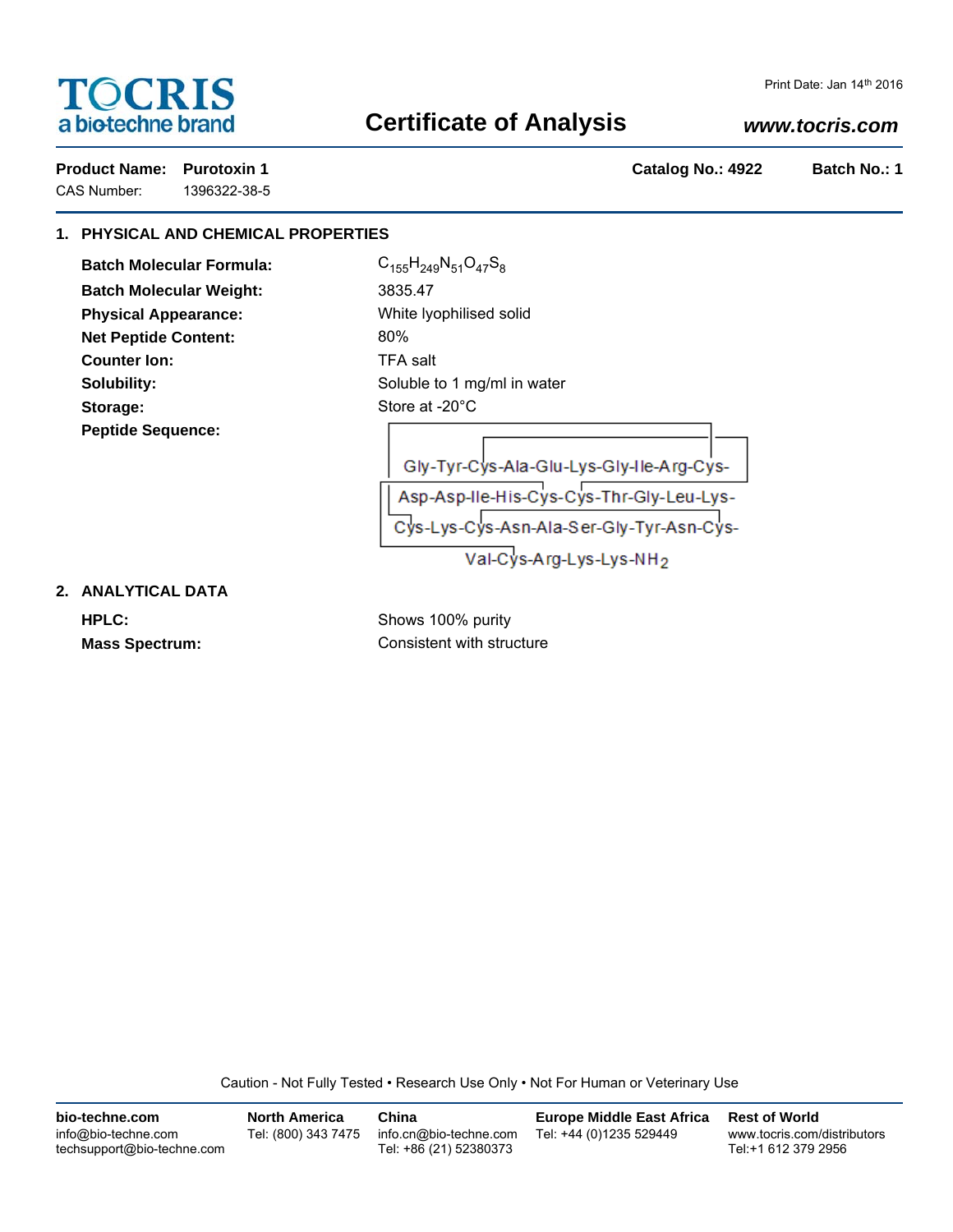# **TOCRIS** a biotechne brand

CAS Number: 1396322-38-5

## **Certificate of Analysis**

## *www.tocris.com*

Product Name: Purotoxin 1 **Product Name: Purotoxin 1** and 22 Batch No.: 1

## **1. PHYSICAL AND CHEMICAL PROPERTIES**

**Batch Molecular Formula:** C<sub>155</sub>H<sub>249</sub>N<sub>51</sub>O<sub>47</sub>S<sub>8</sub> **Batch Molecular Weight:** 3835.47 **Physical Appearance:** White lyophilised solid **Net Peptide Content:** 80% **Counter Ion:** TFA salt Storage: Store at -20°C **Peptide Sequence:**

**Solubility:** Soluble to 1 mg/ml in water

| Gly-Tyr-Cys-Ala-Glu-Lys-Gly-Ile-Arg-Cys- |  |
|------------------------------------------|--|
| Asp-Asp-Ile-His-Cys-Cys-Thr-Gly-Leu-Lys- |  |
| Cys-Lys-Cys-Asn-Ala-Ser-Gly-Tyr-Asn-Cys- |  |
| Val-Cys-Arg-Lys-Lys-NH <sub>2</sub>      |  |

### **2. ANALYTICAL DATA**

**HPLC:** Shows 100% purity **Mass Spectrum:** Consistent with structure

Caution - Not Fully Tested • Research Use Only • Not For Human or Veterinary Use

| bio-techne.com                                    | <b>North America</b> | China                                            | <b>Europe Middle East Africa</b> | <b>Rest of World</b>                               |
|---------------------------------------------------|----------------------|--------------------------------------------------|----------------------------------|----------------------------------------------------|
| info@bio-techne.com<br>techsupport@bio-techne.com | Tel: (800) 343 7475  | info.cn@bio-techne.com<br>Tel: +86 (21) 52380373 | Tel: +44 (0)1235 529449          | www.tocris.com/distributors<br>Tel:+1 612 379 2956 |